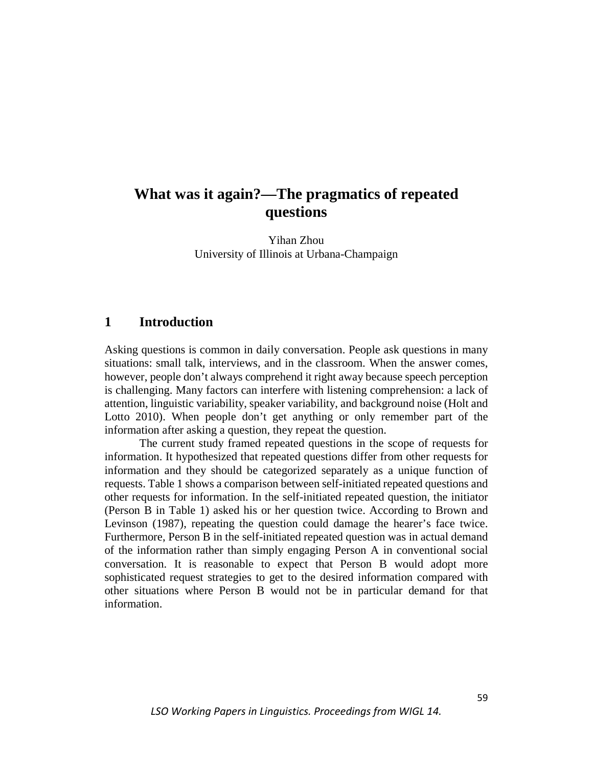# **What was it again?—The pragmatics of repeated questions**

Yihan Zhou University of Illinois at Urbana-Champaign

## **1 Introduction**

Asking questions is common in daily conversation. People ask questions in many situations: small talk, interviews, and in the classroom. When the answer comes, however, people don't always comprehend it right away because speech perception is challenging. Many factors can interfere with listening comprehension: a lack of attention, linguistic variability, speaker variability, and background noise (Holt and Lotto 2010). When people don't get anything or only remember part of the information after asking a question, they repeat the question.

The current study framed repeated questions in the scope of requests for information. It hypothesized that repeated questions differ from other requests for information and they should be categorized separately as a unique function of requests. Table 1 shows a comparison between self-initiated repeated questions and other requests for information. In the self-initiated repeated question, the initiator (Person B in Table 1) asked his or her question twice. According to Brown and Levinson (1987), repeating the question could damage the hearer's face twice. Furthermore, Person B in the self-initiated repeated question was in actual demand of the information rather than simply engaging Person A in conventional social conversation. It is reasonable to expect that Person B would adopt more sophisticated request strategies to get to the desired information compared with other situations where Person B would not be in particular demand for that information.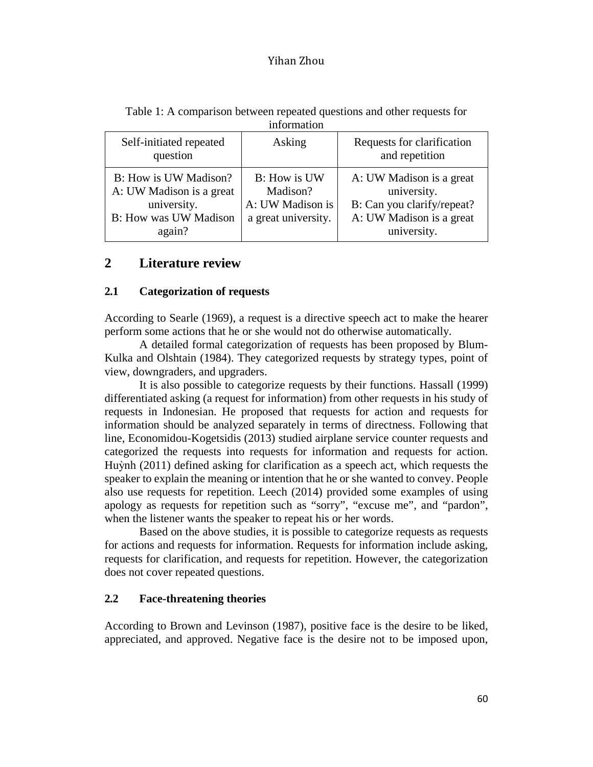| Self-initiated repeated<br>question                                                                        | Asking                                                              | Requests for clarification<br>and repetition                                                                     |
|------------------------------------------------------------------------------------------------------------|---------------------------------------------------------------------|------------------------------------------------------------------------------------------------------------------|
| B: How is UW Madison?<br>A: UW Madison is a great<br>university.<br><b>B:</b> How was UW Madison<br>again? | B: How is UW<br>Madison?<br>A: UW Madison is<br>a great university. | A: UW Madison is a great<br>university.<br>B: Can you clarify/repeat?<br>A: UW Madison is a great<br>university. |

Table 1: A comparison between repeated questions and other requests for information

## **2 Literature review**

### **2.1 Categorization of requests**

According to Searle (1969), a request is a directive speech act to make the hearer perform some actions that he or she would not do otherwise automatically.

A detailed formal categorization of requests has been proposed by Blum-Kulka and Olshtain (1984). They categorized requests by strategy types, point of view, downgraders, and upgraders.

It is also possible to categorize requests by their functions. Hassall (1999) differentiated asking (a request for information) from other requests in his study of requests in Indonesian. He proposed that requests for action and requests for information should be analyzed separately in terms of directness. Following that line, Economidou-Kogetsidis (2013) studied airplane service counter requests and categorized the requests into requests for information and requests for action. Huỳnh (2011) defined asking for clarification as a speech act, which requests the speaker to explain the meaning or intention that he or she wanted to convey. People also use requests for repetition. Leech (2014) provided some examples of using apology as requests for repetition such as "sorry", "excuse me", and "pardon", when the listener wants the speaker to repeat his or her words.

Based on the above studies, it is possible to categorize requests as requests for actions and requests for information. Requests for information include asking, requests for clarification, and requests for repetition. However, the categorization does not cover repeated questions.

### **2.2 Face-threatening theories**

According to Brown and Levinson (1987), positive face is the desire to be liked, appreciated, and approved. Negative face is the desire not to be imposed upon,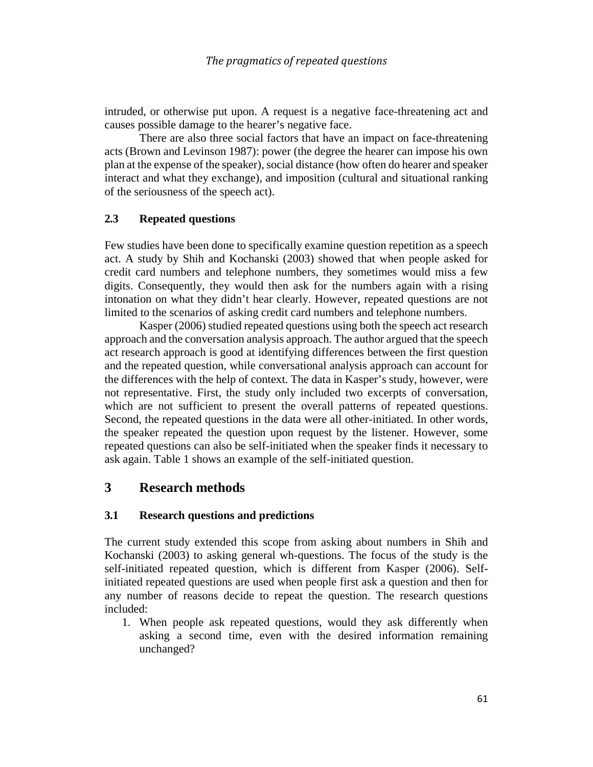intruded, or otherwise put upon. A request is a negative face-threatening act and causes possible damage to the hearer's negative face.

There are also three social factors that have an impact on face-threatening acts (Brown and Levinson 1987): power (the degree the hearer can impose his own plan at the expense of the speaker), social distance (how often do hearer and speaker interact and what they exchange), and imposition (cultural and situational ranking of the seriousness of the speech act).

### **2.3 Repeated questions**

Few studies have been done to specifically examine question repetition as a speech act. A study by Shih and Kochanski (2003) showed that when people asked for credit card numbers and telephone numbers, they sometimes would miss a few digits. Consequently, they would then ask for the numbers again with a rising intonation on what they didn't hear clearly. However, repeated questions are not limited to the scenarios of asking credit card numbers and telephone numbers.

Kasper (2006) studied repeated questions using both the speech act research approach and the conversation analysis approach. The author argued that the speech act research approach is good at identifying differences between the first question and the repeated question, while conversational analysis approach can account for the differences with the help of context. The data in Kasper's study, however, were not representative. First, the study only included two excerpts of conversation, which are not sufficient to present the overall patterns of repeated questions. Second, the repeated questions in the data were all other-initiated. In other words, the speaker repeated the question upon request by the listener. However, some repeated questions can also be self-initiated when the speaker finds it necessary to ask again. Table 1 shows an example of the self-initiated question.

### **3 Research methods**

### **3.1 Research questions and predictions**

The current study extended this scope from asking about numbers in Shih and Kochanski (2003) to asking general wh-questions. The focus of the study is the self-initiated repeated question, which is different from Kasper (2006). Selfinitiated repeated questions are used when people first ask a question and then for any number of reasons decide to repeat the question. The research questions included:

1. When people ask repeated questions, would they ask differently when asking a second time, even with the desired information remaining unchanged?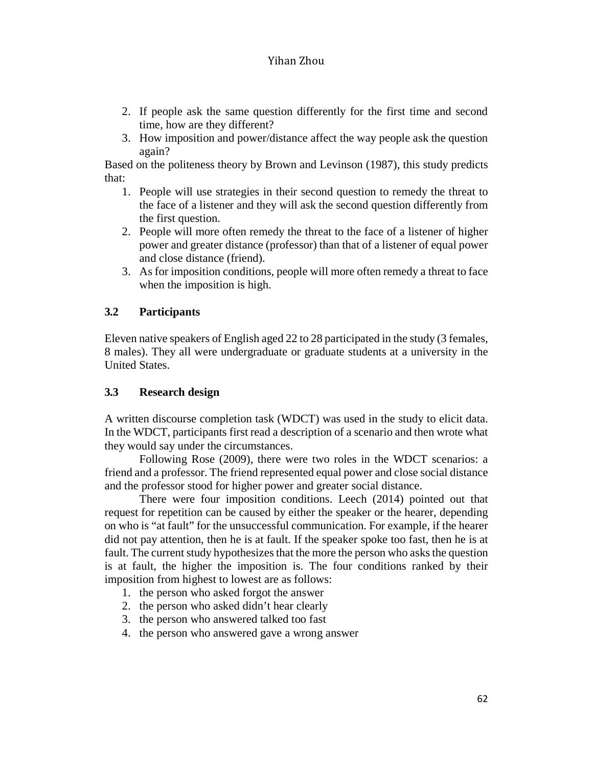- 2. If people ask the same question differently for the first time and second time, how are they different?
- 3. How imposition and power/distance affect the way people ask the question again?

Based on the politeness theory by Brown and Levinson (1987), this study predicts that:

- 1. People will use strategies in their second question to remedy the threat to the face of a listener and they will ask the second question differently from the first question.
- 2. People will more often remedy the threat to the face of a listener of higher power and greater distance (professor) than that of a listener of equal power and close distance (friend).
- 3. As for imposition conditions, people will more often remedy a threat to face when the imposition is high.

## **3.2 Participants**

Eleven native speakers of English aged 22 to 28 participated in the study (3 females, 8 males). They all were undergraduate or graduate students at a university in the United States.

### **3.3 Research design**

A written discourse completion task (WDCT) was used in the study to elicit data. In the WDCT, participants first read a description of a scenario and then wrote what they would say under the circumstances.

Following Rose (2009), there were two roles in the WDCT scenarios: a friend and a professor. The friend represented equal power and close social distance and the professor stood for higher power and greater social distance.

There were four imposition conditions. Leech (2014) pointed out that request for repetition can be caused by either the speaker or the hearer, depending on who is "at fault" for the unsuccessful communication. For example, if the hearer did not pay attention, then he is at fault. If the speaker spoke too fast, then he is at fault. The current study hypothesizes that the more the person who asks the question is at fault, the higher the imposition is. The four conditions ranked by their imposition from highest to lowest are as follows:

- 1. the person who asked forgot the answer
- 2. the person who asked didn't hear clearly
- 3. the person who answered talked too fast
- 4. the person who answered gave a wrong answer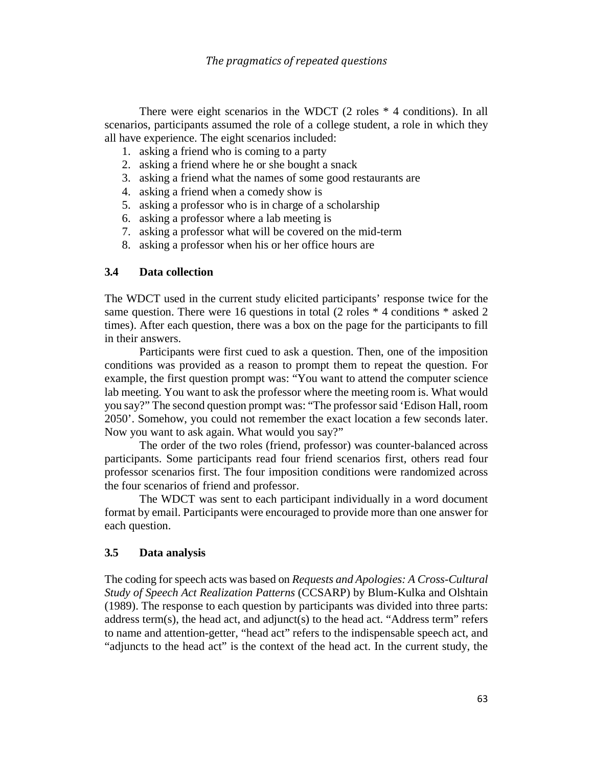There were eight scenarios in the WDCT (2 roles \* 4 conditions). In all scenarios, participants assumed the role of a college student, a role in which they all have experience. The eight scenarios included:

- 1. asking a friend who is coming to a party
- 2. asking a friend where he or she bought a snack
- 3. asking a friend what the names of some good restaurants are
- 4. asking a friend when a comedy show is
- 5. asking a professor who is in charge of a scholarship
- 6. asking a professor where a lab meeting is
- 7. asking a professor what will be covered on the mid-term
- 8. asking a professor when his or her office hours are

### **3.4 Data collection**

The WDCT used in the current study elicited participants' response twice for the same question. There were 16 questions in total (2 roles  $*$  4 conditions  $*$  asked 2 times). After each question, there was a box on the page for the participants to fill in their answers.

Participants were first cued to ask a question. Then, one of the imposition conditions was provided as a reason to prompt them to repeat the question. For example, the first question prompt was: "You want to attend the computer science lab meeting. You want to ask the professor where the meeting room is. What would you say?" The second question prompt was: "The professor said 'Edison Hall, room 2050'. Somehow, you could not remember the exact location a few seconds later. Now you want to ask again. What would you say?"

The order of the two roles (friend, professor) was counter-balanced across participants. Some participants read four friend scenarios first, others read four professor scenarios first. The four imposition conditions were randomized across the four scenarios of friend and professor.

The WDCT was sent to each participant individually in a word document format by email. Participants were encouraged to provide more than one answer for each question.

### **3.5 Data analysis**

The coding for speech acts was based on *Requests and Apologies: A Cross-Cultural Study of Speech Act Realization Patterns* (CCSARP) by Blum-Kulka and Olshtain (1989). The response to each question by participants was divided into three parts: address term(s), the head act, and adjunct(s) to the head act. "Address term" refers to name and attention-getter, "head act" refers to the indispensable speech act, and "adjuncts to the head act" is the context of the head act. In the current study, the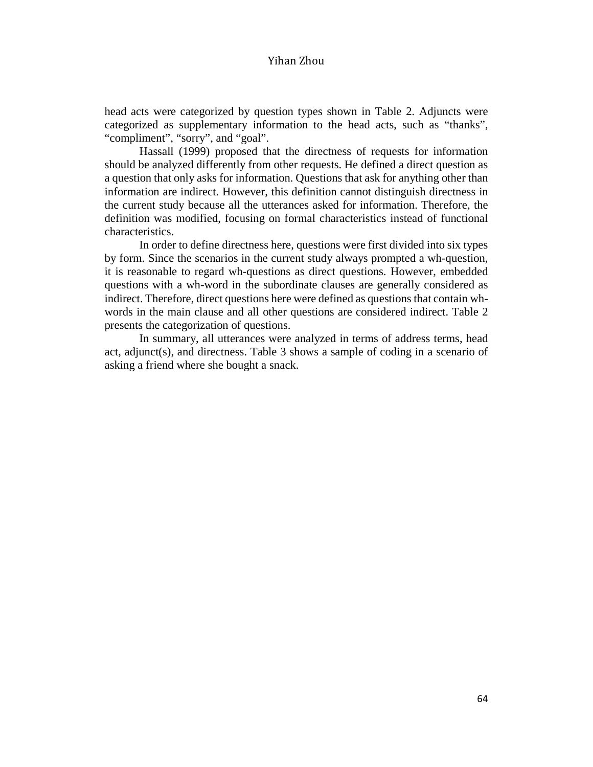head acts were categorized by question types shown in Table 2. Adjuncts were categorized as supplementary information to the head acts, such as "thanks", "compliment", "sorry", and "goal".

Hassall (1999) proposed that the directness of requests for information should be analyzed differently from other requests. He defined a direct question as a question that only asks for information. Questions that ask for anything other than information are indirect. However, this definition cannot distinguish directness in the current study because all the utterances asked for information. Therefore, the definition was modified, focusing on formal characteristics instead of functional characteristics.

In order to define directness here, questions were first divided into six types by form. Since the scenarios in the current study always prompted a wh-question, it is reasonable to regard wh-questions as direct questions. However, embedded questions with a wh-word in the subordinate clauses are generally considered as indirect. Therefore, direct questions here were defined as questions that contain whwords in the main clause and all other questions are considered indirect. Table 2 presents the categorization of questions.

In summary, all utterances were analyzed in terms of address terms, head act, adjunct(s), and directness. Table 3 shows a sample of coding in a scenario of asking a friend where she bought a snack.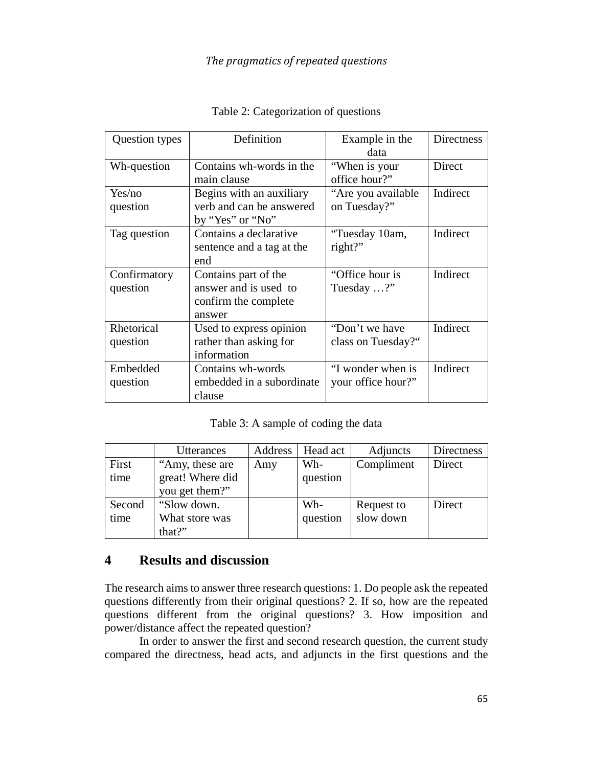| Question types           | Definition                                                                      | Example in the<br>data                  | <b>Directness</b> |
|--------------------------|---------------------------------------------------------------------------------|-----------------------------------------|-------------------|
| Wh-question              | Contains wh-words in the<br>main clause                                         | "When is your<br>office hour?"          | Direct            |
| Yes/no<br>question       | Begins with an auxiliary<br>verb and can be answered<br>by "Yes" or "No"        | "Are you available"<br>on Tuesday?"     | Indirect          |
| Tag question             | Contains a declarative<br>sentence and a tag at the<br>end                      | "Tuesday 10am,<br>right?"               | Indirect          |
| Confirmatory<br>question | Contains part of the<br>answer and is used to<br>confirm the complete<br>answer | "Office hour is"<br>Tuesday ?"          | Indirect          |
| Rhetorical<br>question   | Used to express opinion<br>rather than asking for<br>information                | "Don't we have<br>class on Tuesday?"    | Indirect          |
| Embedded<br>question     | Contains wh-words<br>embedded in a subordinate<br>clause                        | "I wonder when is<br>your office hour?" | Indirect          |

Table 2: Categorization of questions

Table 3: A sample of coding the data

|        | Utterances       | Address | Head act | Adjuncts   | Directness |
|--------|------------------|---------|----------|------------|------------|
| First  | "Amy, these are  | Amy     | Wh-      | Compliment | Direct     |
| time   | great! Where did |         | question |            |            |
|        | you get them?"   |         |          |            |            |
| Second | "Slow down.      |         | Wh-      | Request to | Direct     |
| time   | What store was   |         | question | slow down  |            |
|        | that?"           |         |          |            |            |

## **4 Results and discussion**

The research aims to answer three research questions: 1. Do people ask the repeated questions differently from their original questions? 2. If so, how are the repeated questions different from the original questions? 3. How imposition and power/distance affect the repeated question?

In order to answer the first and second research question, the current study compared the directness, head acts, and adjuncts in the first questions and the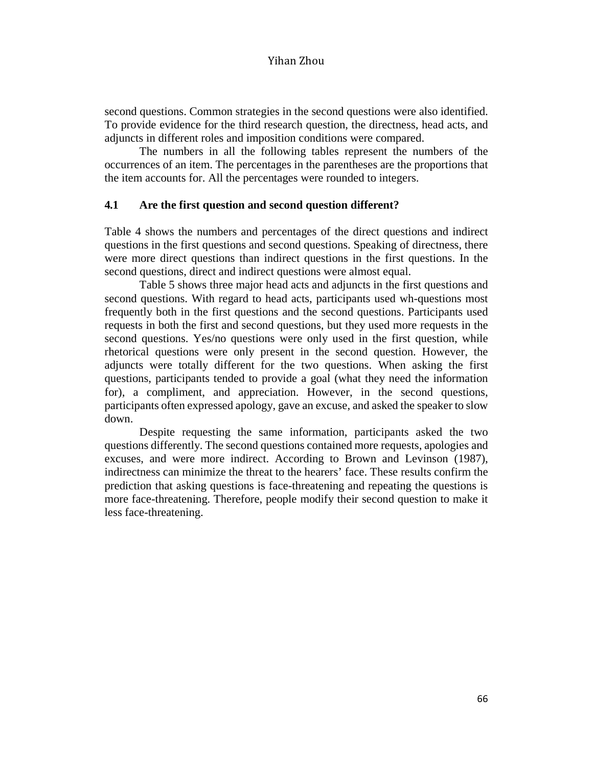second questions. Common strategies in the second questions were also identified. To provide evidence for the third research question, the directness, head acts, and adjuncts in different roles and imposition conditions were compared.

The numbers in all the following tables represent the numbers of the occurrences of an item. The percentages in the parentheses are the proportions that the item accounts for. All the percentages were rounded to integers.

### **4.1 Are the first question and second question different?**

Table 4 shows the numbers and percentages of the direct questions and indirect questions in the first questions and second questions. Speaking of directness, there were more direct questions than indirect questions in the first questions. In the second questions, direct and indirect questions were almost equal.

Table 5 shows three major head acts and adjuncts in the first questions and second questions. With regard to head acts, participants used wh-questions most frequently both in the first questions and the second questions. Participants used requests in both the first and second questions, but they used more requests in the second questions. Yes/no questions were only used in the first question, while rhetorical questions were only present in the second question. However, the adjuncts were totally different for the two questions. When asking the first questions, participants tended to provide a goal (what they need the information for), a compliment, and appreciation. However, in the second questions, participants often expressed apology, gave an excuse, and asked the speaker to slow down.

Despite requesting the same information, participants asked the two questions differently. The second questions contained more requests, apologies and excuses, and were more indirect. According to Brown and Levinson (1987), indirectness can minimize the threat to the hearers' face. These results confirm the prediction that asking questions is face-threatening and repeating the questions is more face-threatening. Therefore, people modify their second question to make it less face-threatening.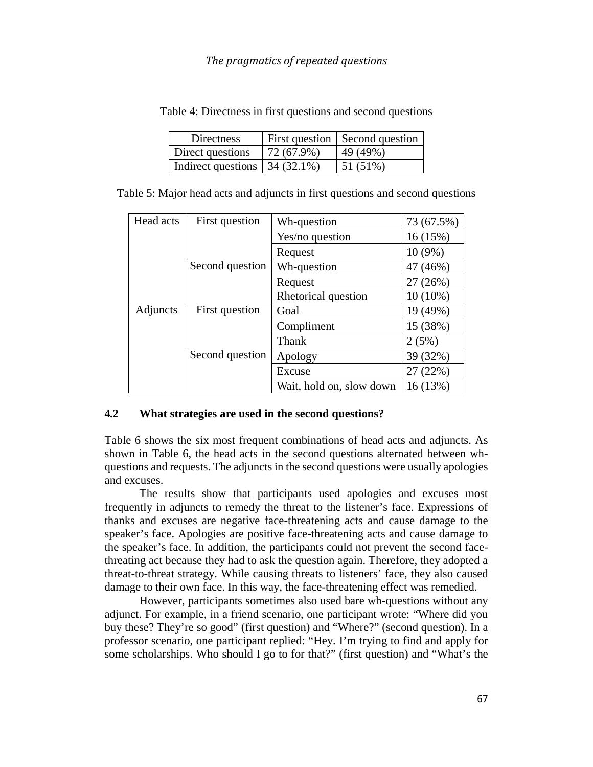| Directness                            |               | First question   Second question |
|---------------------------------------|---------------|----------------------------------|
| Direct questions                      | $172(67.9\%)$ | 49(49%)                          |
| Indirect questions $\vert$ 34 (32.1%) |               | 51 (51%)                         |

Table 4: Directness in first questions and second questions

| Table 5: Major head acts and adjuncts in first questions and second questions |  |  |
|-------------------------------------------------------------------------------|--|--|
|                                                                               |  |  |

| Head acts       | First question  | Wh-question              | 73 (67.5%) |
|-----------------|-----------------|--------------------------|------------|
|                 |                 | Yes/no question          | 16 (15%)   |
|                 |                 | Request                  | 10 (9%)    |
|                 | Second question | Wh-question              | 47 (46%)   |
|                 |                 | Request                  | 27 (26%)   |
|                 |                 | Rhetorical question      | $10(10\%)$ |
| <b>Adjuncts</b> | First question  | Goal                     | 19 (49%)   |
|                 |                 | Compliment               | 15 (38%)   |
|                 |                 | Thank                    | 2(5%)      |
|                 | Second question | Apology                  | 39 (32%)   |
|                 |                 | Excuse                   | 27(22%)    |
|                 |                 | Wait, hold on, slow down | 16 (13%)   |

### **4.2 What strategies are used in the second questions?**

Table 6 shows the six most frequent combinations of head acts and adjuncts. As shown in Table 6, the head acts in the second questions alternated between whquestions and requests. The adjuncts in the second questions were usually apologies and excuses.

The results show that participants used apologies and excuses most frequently in adjuncts to remedy the threat to the listener's face. Expressions of thanks and excuses are negative face-threatening acts and cause damage to the speaker's face. Apologies are positive face-threatening acts and cause damage to the speaker's face. In addition, the participants could not prevent the second facethreating act because they had to ask the question again. Therefore, they adopted a threat-to-threat strategy. While causing threats to listeners' face, they also caused damage to their own face. In this way, the face-threatening effect was remedied.

However, participants sometimes also used bare wh-questions without any adjunct. For example, in a friend scenario, one participant wrote: "Where did you buy these? They're so good" (first question) and "Where?" (second question). In a professor scenario, one participant replied: "Hey. I'm trying to find and apply for some scholarships. Who should I go to for that?" (first question) and "What's the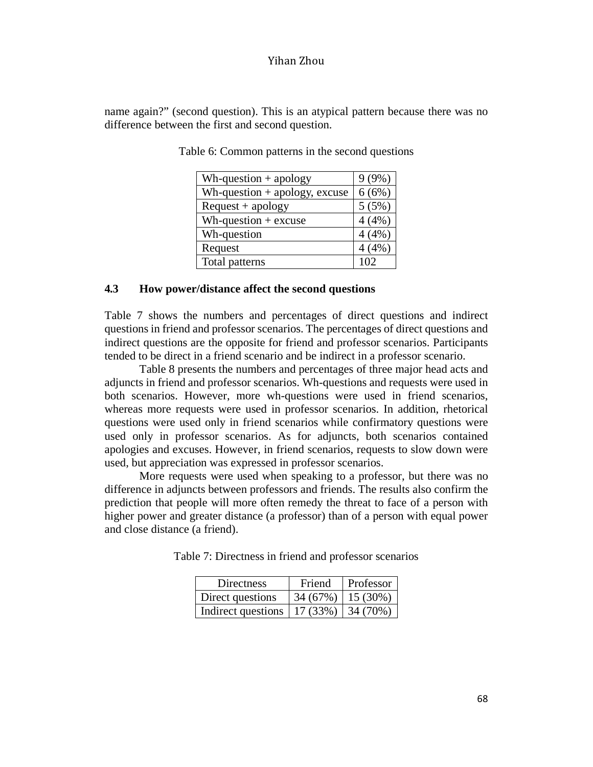name again?" (second question). This is an atypical pattern because there was no difference between the first and second question.

| Wh-question $+$ apology         | $9(9\%)$ |
|---------------------------------|----------|
| Wh-question $+$ apology, excuse | 6(6%)    |
| $Request + apology$             | 5(5%)    |
| Wh-question $+$ excuse          | 4(4%)    |
| Wh-question                     | 4(4%)    |
| Request                         | 4(4%)    |
| Total patterns                  | 102      |

Table 6: Common patterns in the second questions

#### **4.3 How power/distance affect the second questions**

Table 7 shows the numbers and percentages of direct questions and indirect questions in friend and professor scenarios. The percentages of direct questions and indirect questions are the opposite for friend and professor scenarios. Participants tended to be direct in a friend scenario and be indirect in a professor scenario.

Table 8 presents the numbers and percentages of three major head acts and adjuncts in friend and professor scenarios. Wh-questions and requests were used in both scenarios. However, more wh-questions were used in friend scenarios, whereas more requests were used in professor scenarios. In addition, rhetorical questions were used only in friend scenarios while confirmatory questions were used only in professor scenarios. As for adjuncts, both scenarios contained apologies and excuses. However, in friend scenarios, requests to slow down were used, but appreciation was expressed in professor scenarios.

More requests were used when speaking to a professor, but there was no difference in adjuncts between professors and friends. The results also confirm the prediction that people will more often remedy the threat to face of a person with higher power and greater distance (a professor) than of a person with equal power and close distance (a friend).

Table 7: Directness in friend and professor scenarios

| Directness         | Friend               | Professor |
|--------------------|----------------------|-----------|
| Direct questions   | $34(67%)$   15 (30%) |           |
| Indirect questions | 17(33%)              | 34 (70%)  |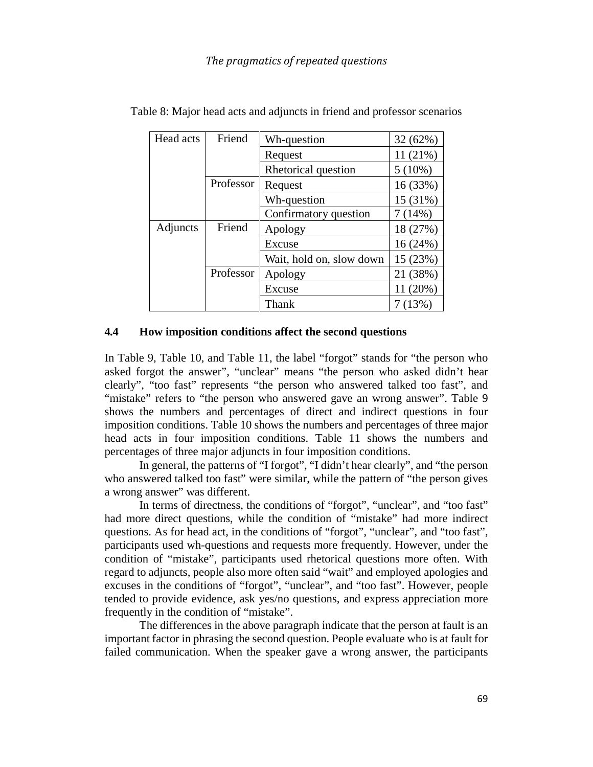| Head acts | Friend    | Wh-question              | 32 (62%)  |
|-----------|-----------|--------------------------|-----------|
|           |           | Request                  | 11(21%)   |
|           |           | Rhetorical question      | $5(10\%)$ |
|           | Professor | Request                  | 16 (33%)  |
|           |           | Wh-question              | 15 (31%)  |
|           |           | Confirmatory question    | 7(14%)    |
| Adjuncts  | Friend    | Apology                  | 18 (27%)  |
|           |           | Excuse                   | 16(24%)   |
|           |           | Wait, hold on, slow down | 15 (23%)  |
|           | Professor | Apology                  | 21 (38%)  |
|           |           | Excuse                   | 11 (20%)  |
|           |           | Thank                    | 7(13%)    |

Table 8: Major head acts and adjuncts in friend and professor scenarios

### **4.4 How imposition conditions affect the second questions**

In Table 9, Table 10, and Table 11, the label "forgot" stands for "the person who asked forgot the answer", "unclear" means "the person who asked didn't hear clearly", "too fast" represents "the person who answered talked too fast", and "mistake" refers to "the person who answered gave an wrong answer". Table 9 shows the numbers and percentages of direct and indirect questions in four imposition conditions. Table 10 shows the numbers and percentages of three major head acts in four imposition conditions. Table 11 shows the numbers and percentages of three major adjuncts in four imposition conditions.

In general, the patterns of "I forgot", "I didn't hear clearly", and "the person who answered talked too fast" were similar, while the pattern of "the person gives a wrong answer" was different.

In terms of directness, the conditions of "forgot", "unclear", and "too fast" had more direct questions, while the condition of "mistake" had more indirect questions. As for head act, in the conditions of "forgot", "unclear", and "too fast", participants used wh-questions and requests more frequently. However, under the condition of "mistake", participants used rhetorical questions more often. With regard to adjuncts, people also more often said "wait" and employed apologies and excuses in the conditions of "forgot", "unclear", and "too fast". However, people tended to provide evidence, ask yes/no questions, and express appreciation more frequently in the condition of "mistake".

The differences in the above paragraph indicate that the person at fault is an important factor in phrasing the second question. People evaluate who is at fault for failed communication. When the speaker gave a wrong answer, the participants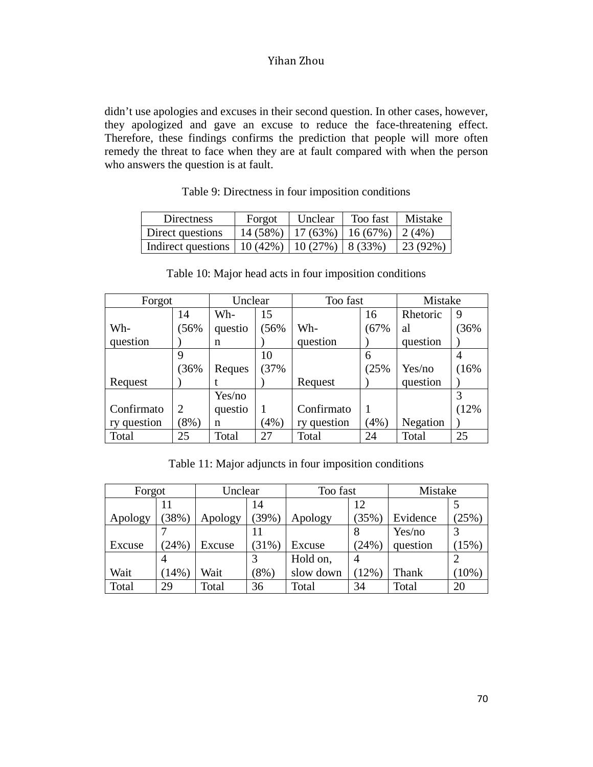didn't use apologies and excuses in their second question. In other cases, however, they apologized and gave an excuse to reduce the face-threatening effect. Therefore, these findings confirms the prediction that people will more often remedy the threat to face when they are at fault compared with when the person who answers the question is at fault.

| Directness                                         | Forgot                              | Unclear | Too fast | Mistake         |
|----------------------------------------------------|-------------------------------------|---------|----------|-----------------|
| Direct questions                                   | $14(58\%)$ 17 (63%) 16 (67%) 2 (4%) |         |          |                 |
| Indirect questions   10 (42%)   10 (27%)   8 (33%) |                                     |         |          | $\mid$ 23 (92%) |

Table 9: Directness in four imposition conditions

| Forgot      |                | Unclear |      | Too fast    | Mistake |          |      |
|-------------|----------------|---------|------|-------------|---------|----------|------|
|             | 14             | Wh-     | 15   |             | 16      | Rhetoric | 9    |
| Wh-         | 56%            | questio | 56%  | Wh-         | (67%    | al       | 36%  |
| question    |                | n       |      | question    |         | question |      |
|             | 9              |         | 10   |             | 6       |          | 4    |
|             | 36%            | Reques  | 37%  |             | (25%    | Yes/no   | (16% |
| Request     |                |         |      | Request     |         | question |      |
|             |                | Yes/no  |      |             |         |          |      |
| Confirmato  | $\overline{2}$ | questio |      | Confirmato  |         |          | (12% |
| ry question | $(8\%)$        | n       | (4%) | ry question | $(4\%)$ | Negation |      |
| Total       | 25             | Total   | 27   | Total       | 24      | Total    | 25   |

Table 10: Major head acts in four imposition conditions

Table 11: Major adjuncts in four imposition conditions

| Forgot  |          | Unclear |          | Too fast  |                | Mistake  |          |
|---------|----------|---------|----------|-----------|----------------|----------|----------|
|         | 11       |         | 14       |           | 12             |          |          |
| Apology | 38%)     | Apology | (39%)    | Apology   | (35%)          | Evidence | (25%)    |
|         |          |         |          |           | 8              | Yes/no   |          |
| Excuse  | (24%)    | Excuse  | $(31\%)$ | Excuse    | (24%           | question | $(15\%)$ |
|         | 4        |         |          | Hold on,  | $\overline{A}$ |          |          |
| Wait    | $(14\%)$ | Wait    | $(8\%)$  | slow down | $(12\%)$       | Thank    | $(10\%)$ |
| Total   | 29       | Total   | 36       | Total     | 34             | Total    | 20       |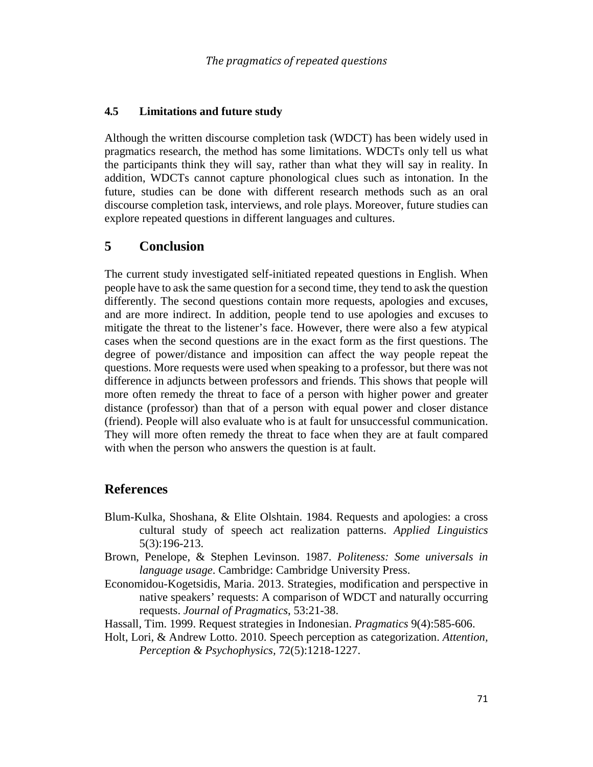### **4.5 Limitations and future study**

Although the written discourse completion task (WDCT) has been widely used in pragmatics research, the method has some limitations. WDCTs only tell us what the participants think they will say, rather than what they will say in reality. In addition, WDCTs cannot capture phonological clues such as intonation. In the future, studies can be done with different research methods such as an oral discourse completion task, interviews, and role plays. Moreover, future studies can explore repeated questions in different languages and cultures.

## **5 Conclusion**

The current study investigated self-initiated repeated questions in English. When people have to ask the same question for a second time, they tend to ask the question differently. The second questions contain more requests, apologies and excuses, and are more indirect. In addition, people tend to use apologies and excuses to mitigate the threat to the listener's face. However, there were also a few atypical cases when the second questions are in the exact form as the first questions. The degree of power/distance and imposition can affect the way people repeat the questions. More requests were used when speaking to a professor, but there was not difference in adjuncts between professors and friends. This shows that people will more often remedy the threat to face of a person with higher power and greater distance (professor) than that of a person with equal power and closer distance (friend). People will also evaluate who is at fault for unsuccessful communication. They will more often remedy the threat to face when they are at fault compared with when the person who answers the question is at fault.

### **References**

- Blum-Kulka, Shoshana, & Elite Olshtain. 1984. Requests and apologies: a cross cultural study of speech act realization patterns. *Applied Linguistics* 5(3):196-213.
- Brown, Penelope, & Stephen Levinson. 1987. *Politeness: Some universals in language usage*. Cambridge: Cambridge University Press.
- Economidou-Kogetsidis, Maria. 2013. Strategies, modification and perspective in native speakers' requests: A comparison of WDCT and naturally occurring requests. *Journal of Pragmatics*, 53:21-38.
- Hassall, Tim. 1999. Request strategies in Indonesian. *Pragmatics* 9(4):585-606.
- Holt, Lori, & Andrew Lotto. 2010. Speech perception as categorization. *Attention, Perception & Psychophysics,* 72(5):1218-1227.